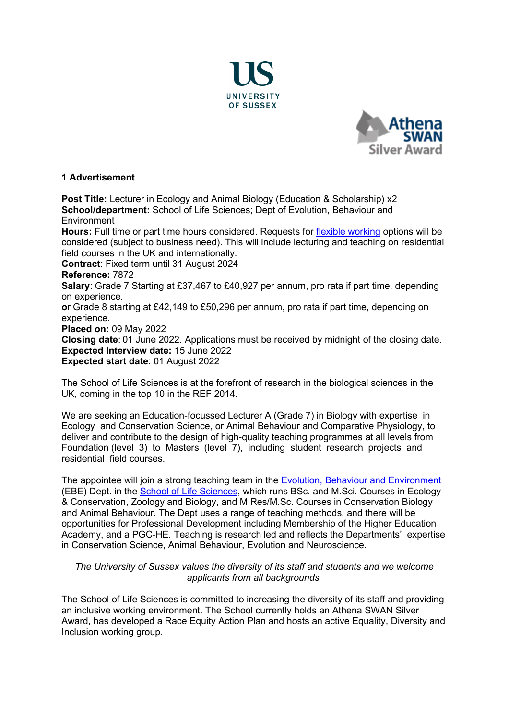



#### **1 Advertisement**

**Post Title:** Lecturer in Ecology and Animal Biology (Education & Scholarship) x2 **School/department:** School of Life Sciences; Dept of Evolution, Behaviour and **Environment** 

**Hours:** Full time or part time hours considered. Requests for [flexible working](http://www.sussex.ac.uk/humanresources/personnel/flexible-working) options will be considered (subject to business need). This will include lecturing and teaching on residential field courses in the UK and internationally.

**Contract**: Fixed term until 31 August 2024 

# **Reference:** 7872

**Salary**: Grade 7 Starting at £37,467 to £40,927 per annum, pro rata if part time, depending on experience.

**o**r Grade 8 starting at £42,149 to £50,296 per annum, pro rata if part time, depending on experience.

**Placed on:** 09 May 2022

**Closing date**: 01 June 2022. Applications must be received by midnight of the closing date. **Expected Interview date:** 15 June 2022 **Expected start date**: 01 August 2022

The School of Life Sciences is at the forefront of research in the biological sciences in the UK, coming in the top 10 in the REF 2014.

We are seeking an Education-focussed Lecturer A (Grade 7) in Biology with expertise in Ecology and Conservation Science, or Animal Behaviour and Comparative Physiology, to deliver and contribute to the design of high-quality teaching programmes at all levels from Foundation (level 3) to Masters (level 7), including student research projects and residential field courses.

The appointee will join a strong teaching team in the [Evolution, Behaviour and Environment](http://www.sussex.ac.uk/lifesci/ebe/) (EBE) Dept. in the [School of Life Sciences,](http://www.sussex.ac.uk/lifesci) which runs BSc. and M.Sci. Courses in Ecology & Conservation, Zoology and Biology, and M.Res/M.Sc. Courses in Conservation Biology and Animal Behaviour. The Dept uses a range of teaching methods, and there will be opportunities for Professional Development including Membership of the Higher Education Academy, and a PGC-HE. Teaching is research led and reflects the Departments' expertise in Conservation Science, Animal Behaviour, Evolution and Neuroscience.

# *The University of Sussex values the diversity of its staff and students and we welcome applicants from all backgrounds*

The School of Life Sciences is committed to increasing the diversity of its staff and providing an inclusive working environment. The School currently holds an Athena SWAN Silver Award, has developed a Race Equity Action Plan and hosts an active Equality, Diversity and Inclusion working group.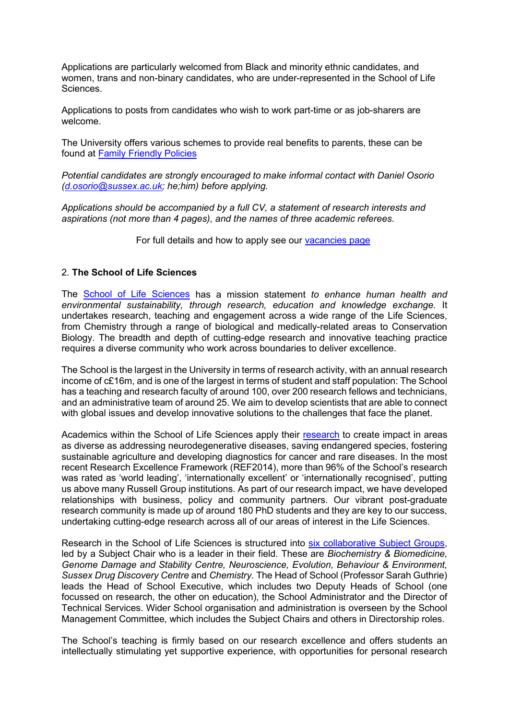Applications are particularly welcomed from Black and minority ethnic candidates, and women, trans and non-binary candidates, who are under-represented in the School of Life Sciences.

Applications to posts from candidates who wish to work part-time or as job-sharers are welcome.

The University offers various schemes to provide real benefits to parents, these can be found at [Family Friendly Policies](http://www.sussex.ac.uk/humanresources/personnel/familyfriendlypolicies) 

*Potential candidates are strongly encouraged to make informal contact with Daniel Osorio [\(d.osorio@sussex.ac.uk;](mailto:d.osorio@sussex.ac.uk) he;him) before applying.*

*Applications should be accompanied by a full CV, a statement of research interests and aspirations (not more than 4 pages), and the names of three academic referees.* 

For full details and how to apply see our [vacancies page](http://www.sussex.ac.uk/about/jobs) 

# 2. **The School of Life Sciences**

The [School of Life Sciences](http://www.sussex.ac.uk/lifesci/) has a mission statement *to enhance human health and environmental sustainability, through research, education and knowledge exchange.* It undertakes research, teaching and engagement across a wide range of the Life Sciences, from Chemistry through a range of biological and medically-related areas to Conservation Biology. The breadth and depth of cutting-edge research and innovative teaching practice requires a diverse community who work across boundaries to deliver excellence.

The School is the largest in the University in terms of research activity, with an annual research income of c£16m, and is one of the largest in terms of student and staff population: The School has a teaching and research faculty of around 100, over 200 research fellows and technicians, and an administrative team of around 25. We aim to develop scientists that are able to connect with global issues and develop innovative solutions to the challenges that face the planet.

Academics within the School of Life Sciences apply their [research](http://www.sussex.ac.uk/lifesci/research) to create impact in areas as diverse as addressing neurodegenerative diseases, saving endangered species, fostering sustainable agriculture and developing diagnostics for cancer and rare diseases. In the most recent Research Excellence Framework (REF2014), more than 96% of the School's research was rated as 'world leading', 'internationally excellent' or 'internationally recognised', putting us above many Russell Group institutions. As part of our research impact, we have developed relationships with business, policy and community partners. Our vibrant post-graduate research community is made up of around 180 PhD students and they are key to our success, undertaking cutting-edge research across all of our areas of interest in the Life Sciences.

Research in the School of Life Sciences is structured into [six collaborative Subject Groups,](http://www.sussex.ac.uk/lifesci/) led by a Subject Chair who is a leader in their field. These are *Biochemistry & Biomedicine, Genome Damage and Stability Centre, Neuroscience, Evolution, Behaviour & Environment, Sussex Drug Discovery Centre* and *Chemistry.* The Head of School (Professor Sarah Guthrie) leads the Head of School Executive, which includes two Deputy Heads of School (one focussed on research, the other on education), the School Administrator and the Director of Technical Services. Wider School organisation and administration is overseen by the School Management Committee, which includes the Subject Chairs and others in Directorship roles.

The School's teaching is firmly based on our research excellence and offers students an intellectually stimulating yet supportive experience, with opportunities for personal research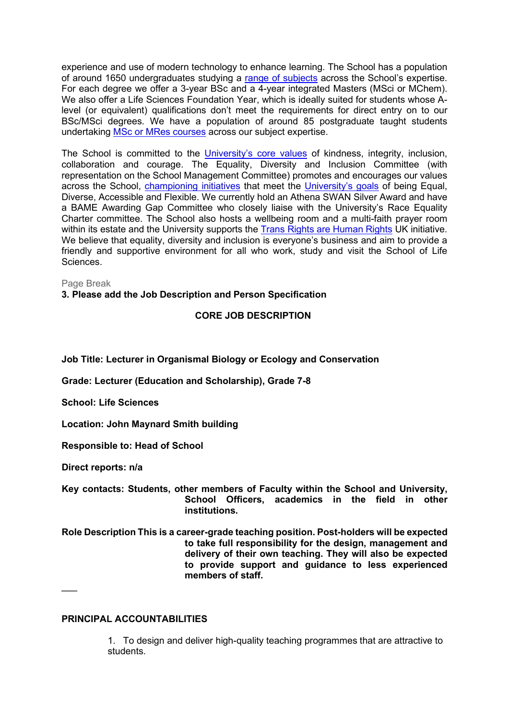experience and use of modern technology to enhance learning. The School has a population of around 1650 undergraduates studying a [range of subjects](http://www.sussex.ac.uk/lifesci/ugstudy) across the School's expertise. For each degree we offer a 3-year BSc and a 4-year integrated Masters (MSci or MChem). We also offer a Life Sciences Foundation Year, which is ideally suited for students whose Alevel (or equivalent) qualifications don't meet the requirements for direct entry on to our BSc/MSci degrees. We have a population of around 85 postgraduate taught students undertaking [MSc or MRes courses](http://www.sussex.ac.uk/lifesci/pgstudy) across our subject expertise.

The School is committed to the [University's core values](https://www.sussex.ac.uk/strategy/) of kindness, integrity, inclusion, collaboration and courage. The Equality, Diversity and Inclusion Committee (with representation on the School Management Committee) promotes and encourages our values across the School, [championing initiatives](http://www.sussex.ac.uk/lifesci/equality-diversity-and-inclusion/) that meet the [University's goals](https://www.sussex.ac.uk/equalities/strategy) of being Equal, Diverse, Accessible and Flexible. We currently hold an Athena SWAN Silver Award and have a BAME Awarding Gap Committee who closely liaise with the University's Race Equality Charter committee. The School also hosts a wellbeing room and a multi-faith prayer room within its estate and the University supports the [Trans Rights are Human Rights](https://www.sussex.ac.uk/news/university?id=52962) UK initiative. We believe that equality, diversity and inclusion is everyone's business and aim to provide a friendly and supportive environment for all who work, study and visit the School of Life Sciences.

Page Break

**3. Please add the Job Description and Person Specification**

# **CORE JOB DESCRIPTION**

**Job Title: Lecturer in Organismal Biology or Ecology and Conservation**

**Grade: Lecturer (Education and Scholarship), Grade 7-8**

**School: Life Sciences**

**Location: John Maynard Smith building**

**Responsible to: Head of School**

**Direct reports: n/a**

\_\_\_

**Key contacts: Students, other members of Faculty within the School and University, School Officers, academics in the field in other institutions.**

**Role Description This is a career-grade teaching position. Post-holders will be expected to take full responsibility for the design, management and delivery of their own teaching. They will also be expected to provide support and guidance to less experienced members of staff.**

# **PRINCIPAL ACCOUNTABILITIES**

1. To design and deliver high-quality teaching programmes that are attractive to students.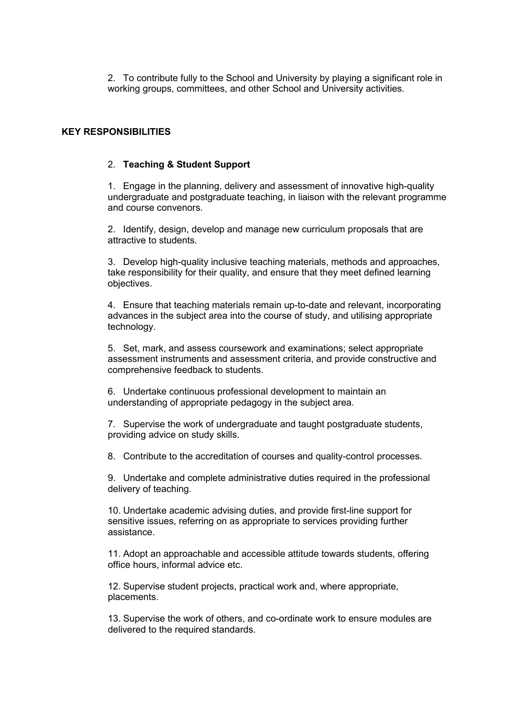2. To contribute fully to the School and University by playing a significant role in working groups, committees, and other School and University activities.

## **KEY RESPONSIBILITIES**

#### 2. **Teaching & Student Support**

1. Engage in the planning, delivery and assessment of innovative high-quality undergraduate and postgraduate teaching, in liaison with the relevant programme and course convenors.

2. Identify, design, develop and manage new curriculum proposals that are attractive to students.

3. Develop high-quality inclusive teaching materials, methods and approaches, take responsibility for their quality, and ensure that they meet defined learning objectives.

4. Ensure that teaching materials remain up-to-date and relevant, incorporating advances in the subject area into the course of study, and utilising appropriate technology.

5. Set, mark, and assess coursework and examinations; select appropriate assessment instruments and assessment criteria, and provide constructive and comprehensive feedback to students.

6. Undertake continuous professional development to maintain an understanding of appropriate pedagogy in the subject area.

7. Supervise the work of undergraduate and taught postgraduate students, providing advice on study skills.

8. Contribute to the accreditation of courses and quality-control processes.

9. Undertake and complete administrative duties required in the professional delivery of teaching.

10. Undertake academic advising duties, and provide first-line support for sensitive issues, referring on as appropriate to services providing further assistance.

11. Adopt an approachable and accessible attitude towards students, offering office hours, informal advice etc.

12. Supervise student projects, practical work and, where appropriate, placements.

13. Supervise the work of others, and co-ordinate work to ensure modules are delivered to the required standards.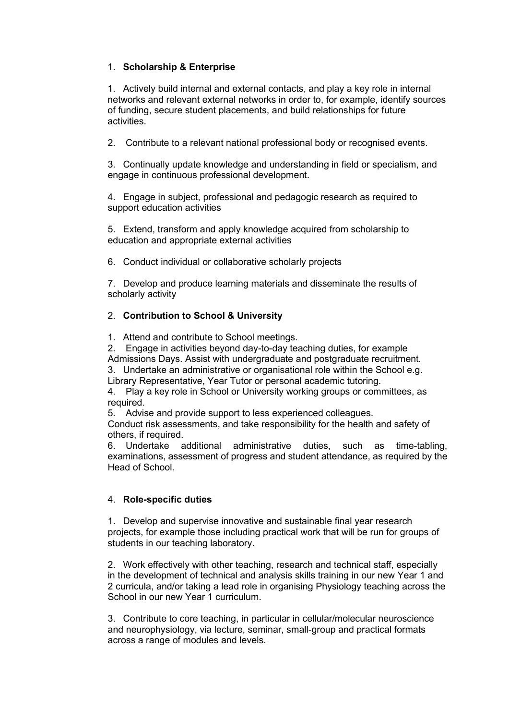# 1. **Scholarship & Enterprise**

1. Actively build internal and external contacts, and play a key role in internal networks and relevant external networks in order to, for example, identify sources of funding, secure student placements, and build relationships for future activities.

2. Contribute to a relevant national professional body or recognised events.

3. Continually update knowledge and understanding in field or specialism, and engage in continuous professional development.

4. Engage in subject, professional and pedagogic research as required to support education activities

5. Extend, transform and apply knowledge acquired from scholarship to education and appropriate external activities

6. Conduct individual or collaborative scholarly projects

7. Develop and produce learning materials and disseminate the results of scholarly activity

# 2. **Contribution to School & University**

1. Attend and contribute to School meetings.

2. Engage in activities beyond day-to-day teaching duties, for example

Admissions Days. Assist with undergraduate and postgraduate recruitment.

3. Undertake an administrative or organisational role within the School e.g. Library Representative, Year Tutor or personal academic tutoring.

4. Play a key role in School or University working groups or committees, as required.

5. Advise and provide support to less experienced colleagues.

Conduct risk assessments, and take responsibility for the health and safety of others, if required.

6. Undertake additional administrative duties, such as time-tabling, examinations, assessment of progress and student attendance, as required by the Head of School.

# 4. **Role-specific duties**

1. Develop and supervise innovative and sustainable final year research projects, for example those including practical work that will be run for groups of students in our teaching laboratory.

2. Work effectively with other teaching, research and technical staff, especially in the development of technical and analysis skills training in our new Year 1 and 2 curricula, and/or taking a lead role in organising Physiology teaching across the School in our new Year 1 curriculum.

3. Contribute to core teaching, in particular in cellular/molecular neuroscience and neurophysiology, via lecture, seminar, small-group and practical formats across a range of modules and levels.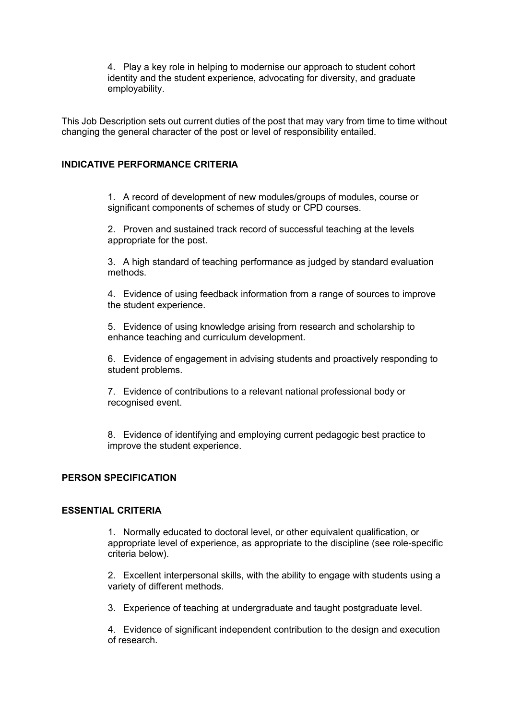4. Play a key role in helping to modernise our approach to student cohort identity and the student experience, advocating for diversity, and graduate employability.

This Job Description sets out current duties of the post that may vary from time to time without changing the general character of the post or level of responsibility entailed.

# **INDICATIVE PERFORMANCE CRITERIA**

1. A record of development of new modules/groups of modules, course or significant components of schemes of study or CPD courses.

2. Proven and sustained track record of successful teaching at the levels appropriate for the post.

3. A high standard of teaching performance as judged by standard evaluation methods.

4. Evidence of using feedback information from a range of sources to improve the student experience.

5. Evidence of using knowledge arising from research and scholarship to enhance teaching and curriculum development.

6. Evidence of engagement in advising students and proactively responding to student problems.

7. Evidence of contributions to a relevant national professional body or recognised event.

8. Evidence of identifying and employing current pedagogic best practice to improve the student experience.

#### **PERSON SPECIFICATION**

# **ESSENTIAL CRITERIA**

1. Normally educated to doctoral level, or other equivalent qualification, or appropriate level of experience, as appropriate to the discipline (see role-specific criteria below).

2. Excellent interpersonal skills, with the ability to engage with students using a variety of different methods.

3. Experience of teaching at undergraduate and taught postgraduate level.

4. Evidence of significant independent contribution to the design and execution of research.